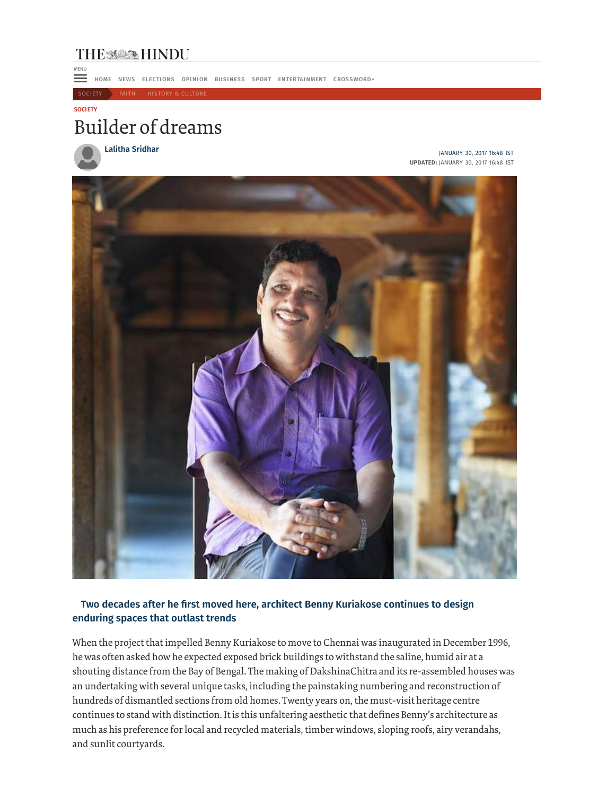## **THE MAN HINDU**

**HOME NEWS ELECTIONS OPINION BUSINESS SPORT ENTERTAINMENT CROSSWORD+** 

SOCIETY FAITH HISTORY & CULTURE

## **SOCI ETY**

MENU

## Builder of dreams

**Lalitha Sridhar** JANUARY 30, 2017 16:48 IST **UPDATED:** JANUARY 30, 2017 16:48 IST



## **Two decades after he first moved here, architect Benny Kuriakose continues to design enduring spaces that outlast trends**

When the project that impelled Benny Kuriakose to move to Chennai was inaugurated in December 1996, he was often asked how he expected exposed brick buildings to withstand the saline, humid air at a shouting distance from the Bay of Bengal. The making of DakshinaChitra and its re-assembled houses was an undertaking with several unique tasks, including the painstaking numbering and reconstruction of hundreds of dismantled sections from old homes. Twenty years on, the must-visit heritage centre continues to stand with distinction. It is this unfaltering aesthetic that defines Benny's architecture as much as his preference for local and recycled materials, timber windows, sloping roofs, airy verandahs, and sunlit courtyards.